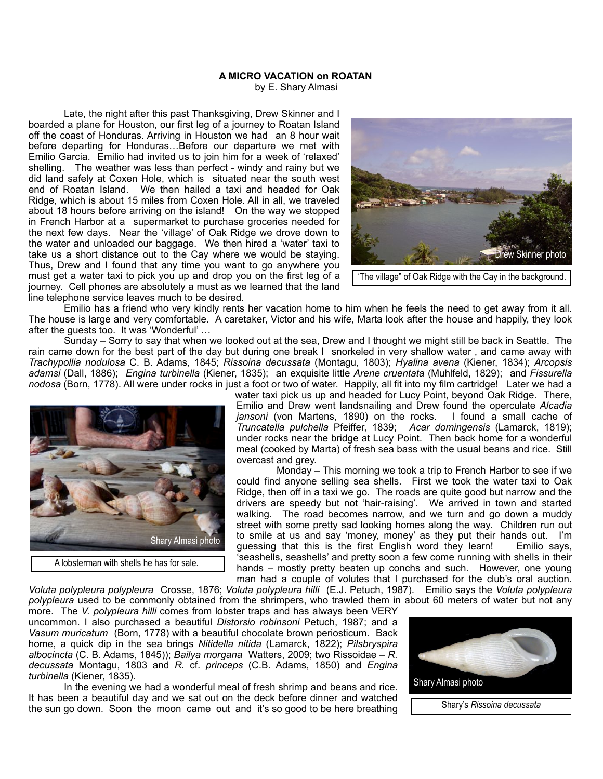## **A MICRO VACATION on ROATAN**

by E. Shary Almasi

 Late, the night after this past Thanksgiving, Drew Skinner and I boarded a plane for Houston, our first leg of a journey to Roatan Island off the coast of Honduras. Arriving in Houston we had an 8 hour wait before departing for Honduras…Before our departure we met with Emilio Garcia. Emilio had invited us to join him for a week of 'relaxed' shelling. The weather was less than perfect - windy and rainy but we did land safely at Coxen Hole, which is situated near the south west end of Roatan Island. We then hailed a taxi and headed for Oak Ridge, which is about 15 miles from Coxen Hole. All in all, we traveled about 18 hours before arriving on the island! On the way we stopped in French Harbor at a supermarket to purchase groceries needed for the next few days. Near the 'village' of Oak Ridge we drove down to the water and unloaded our baggage. We then hired a 'water' taxi to take us a short distance out to the Cay where we would be staying. Thus, Drew and I found that any time you want to go anywhere you must get a water taxi to pick you up and drop you on the first leg of a journey. Cell phones are absolutely a must as we learned that the land line telephone service leaves much to be desired.



'The village" of Oak Ridge with the Cay in the background.

 Emilio has a friend who very kindly rents her vacation home to him when he feels the need to get away from it all. The house is large and very comfortable. A caretaker, Victor and his wife, Marta look after the house and happily, they look after the guests too. It was 'Wonderful' …

 Sunday – Sorry to say that when we looked out at the sea, Drew and I thought we might still be back in Seattle. The rain came down for the best part of the day but during one break I snorkeled in very shallow water , and came away with *Trachypollia nodulosa* C. B. Adams, 1845; *Rissoina decussata* (Montagu, 1803); *Hyalina avena* (Kiener, 1834); *Arcopsis adamsi* (Dall, 1886); *Engina turbinella* (Kiener, 1835); an exquisite little *Arene cruentata* (Muhlfeld, 1829); and *Fissurella nodosa* (Born, 1778). All were under rocks in just a foot or two of water. Happily, all fit into my film cartridge! Later we had a



water taxi pick us up and headed for Lucy Point, beyond Oak Ridge. There, Emilio and Drew went landsnailing and Drew found the operculate *Alcadia jansoni* (von Martens, 1890) on the rocks. *Truncatella pulchella* Pfeiffer, 1839; *Acar domingensis* (Lamarck, 1819); under rocks near the bridge at Lucy Point. Then back home for a wonderful meal (cooked by Marta) of fresh sea bass with the usual beans and rice. Still overcast and grey.

 Monday – This morning we took a trip to French Harbor to see if we could find anyone selling sea shells. First we took the water taxi to Oak Ridge, then off in a taxi we go. The roads are quite good but narrow and the drivers are speedy but not 'hair-raising'. We arrived in town and started walking. The road becomes narrow, and we turn and go down a muddy street with some pretty sad looking homes along the way. Children run out to smile at us and say 'money, money' as they put their hands out. I'm guessing that this is the first English word they learn! 'seashells, seashells' and pretty soon a few come running with shells in their hands – mostly pretty beaten up conchs and such. However, one young man had a couple of volutes that I purchased for the club's oral auction.

*Voluta polypleura polypleura* Crosse, 1876; *Voluta polypleura hilli* (E.J. Petuch, 1987). Emilio says the *Voluta polypleura polypleura* used to be commonly obtained from the shrimpers, who trawled them in about 60 meters of water but not any

more. The *V. polypleura hilli* comes from lobster traps and has always been VERY uncommon. I also purchased a beautiful *Distorsio robinsoni* Petuch, 1987; and a *Vasum muricatum* (Born, 1778) with a beautiful chocolate brown periosticum. Back home, a quick dip in the sea brings *Nitidella nitida* (Lamarck, 1822); *Pilsbryspira albocincta* (C. B. Adams, 1845)); *Bailya morgana* Watters, 2009; two Rissoidae – *R. decussata* Montagu, 1803 and *R.* cf. *princeps* (C.B. Adams, 1850) and *Engina turbinella* (Kiener, 1835).

 In the evening we had a wonderful meal of fresh shrimp and beans and rice. It has been a beautiful day and we sat out on the deck before dinner and watched the sun go down. Soon the moon came out and it's so good to be here breathing

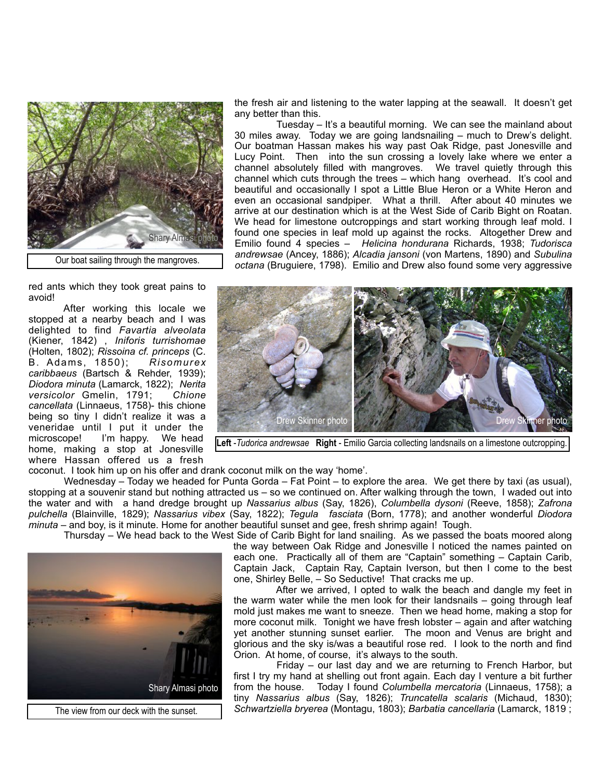

Our boat sailing through the mangroves.

red ants which they took great pains to avoid!

 After working this locale we stopped at a nearby beach and I was delighted to find *Favartia alveolata* (Kiener, 1842) , *Iniforis turrishomae* (Holten, 1802); *Rissoina cf. princeps* (C. B. Adams, 1850); *Risomurex caribbaeus* (Bartsch & Rehder, 1939); *Diodora minuta* (Lamarck, 1822); *Nerita versicolor* Gmelin, 1791; *Chione cancellata* (Linnaeus, 1758)- this chione being so tiny I didn't realize it was a veneridae until I put it under the microscope! I'm happy. We head home, making a stop at Jonesville where Hassan offered us a fresh

the fresh air and listening to the water lapping at the seawall. It doesn't get any better than this.

 Tuesday – It's a beautiful morning. We can see the mainland about 30 miles away. Today we are going landsnailing – much to Drew's delight. Our boatman Hassan makes his way past Oak Ridge, past Jonesville and Lucy Point. Then into the sun crossing a lovely lake where we enter a channel absolutely filled with mangroves. We travel quietly through this channel which cuts through the trees – which hang overhead. It's cool and beautiful and occasionally I spot a Little Blue Heron or a White Heron and even an occasional sandpiper. What a thrill. After about 40 minutes we arrive at our destination which is at the West Side of Carib Bight on Roatan. We head for limestone outcroppings and start working through leaf mold. I found one species in leaf mold up against the rocks. Altogether Drew and Emilio found 4 species – *Helicina hondurana* Richards, 1938; *Tudorisca andrewsae* (Ancey, 1886); *Alcadia jansoni* (von Martens, 1890) and *Subulina octana* (Bruguiere, 1798). Emilio and Drew also found some very aggressive



**Left** -*Tudorica andrewsae* **Right** - Emilio Garcia collecting landsnails on a limestone outcropping.

coconut. I took him up on his offer and drank coconut milk on the way 'home'.

 Wednesday – Today we headed for Punta Gorda – Fat Point – to explore the area. We get there by taxi (as usual), stopping at a souvenir stand but nothing attracted us – so we continued on. After walking through the town, I waded out into the water and with a hand dredge brought up *Nassarius albus* (Say, 1826), *Columbella dysoni* (Reeve, 1858); *Zafrona pulchella* (Blainville, 1829); *Nassarius vibex* (Say, 1822); *Tegula fasciata* (Born, 1778); and another wonderful *Diodora minuta* – and boy, is it minute. Home for another beautiful sunset and gee, fresh shrimp again! Tough.

Thursday – We head back to the West Side of Carib Bight for land snailing. As we passed the boats moored along



The view from our deck with the sunset.

the way between Oak Ridge and Jonesville I noticed the names painted on each one. Practically all of them are "Captain" something – Captain Carib, Captain Jack, Captain Ray, Captain Iverson, but then I come to the best one, Shirley Belle, – So Seductive! That cracks me up.

 After we arrived, I opted to walk the beach and dangle my feet in the warm water while the men look for their landsnails – going through leaf mold just makes me want to sneeze. Then we head home, making a stop for more coconut milk. Tonight we have fresh lobster – again and after watching yet another stunning sunset earlier. The moon and Venus are bright and glorious and the sky is/was a beautiful rose red. I look to the north and find Orion. At home, of course, it's always to the south.

 Friday – our last day and we are returning to French Harbor, but first I try my hand at shelling out front again. Each day I venture a bit further from the house. Today I found *Columbella mercatoria* (Linnaeus, 1758); a tiny *Nassarius albus* (Say, 1826); *Truncatella scalaris* (Michaud, 1830); *Schwartziella bryerea* (Montagu, 1803); *Barbatia cancellaria* (Lamarck, 1819 ;